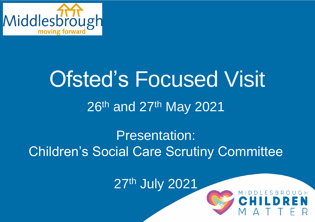

# Ofsted's Focused Visit 26th and 27th May 2021

#### Presentation: Children's Social Care Scrutiny Committee

**27th July 2021**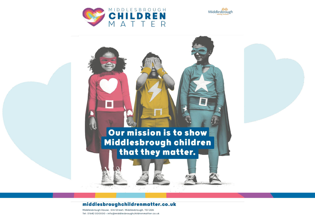



#### Our mission is to show Middlesbrough children that they matter.

#### middlesbroughchildrenmatter.co.uk

Middlesbrough House, Elm Street, Middlesbrough, TS1 2DA Tel: 01642 000000 · info@middlesbroughchildrenmatter.co.uk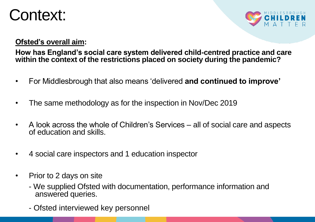#### Context:



#### **Ofsted's overall aim:**

**How has England's social care system delivered child-centred practice and care within the context of the restrictions placed on society during the pandemic?** 

- For Middlesbrough that also means 'delivered **and continued to improve'**
- The same methodology as for the inspection in Nov/Dec 2019
- A look across the whole of Children's Services all of social care and aspects of education and skills.
- 4 social care inspectors and 1 education inspector
- Prior to 2 days on site
	- We supplied Ofsted with documentation, performance information and answered queries.
	- Ofsted interviewed key personnel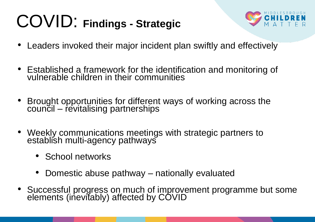### COVID: **Findings - Strategic**



- Leaders invoked their major incident plan swiftly and effectively
- Established a framework for the identification and monitoring of vulnerable children in their communities
- Brought opportunities for different ways of working across the council – revitalising partnerships
- Weekly communications meetings with strategic partners to establish multi-agency pathways
	- School networks
	- Domestic abuse pathway nationally evaluated
- Successful progress on much of improvement programme but some elements (inevitably) affected by COVID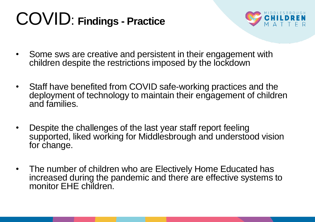#### COVID: **Findings - Practice**



- Some sws are creative and persistent in their engagement with children despite the restrictions imposed by the lockdown
- Staff have benefited from COVID safe-working practices and the deployment of technology to maintain their engagement of children and families.
- Despite the challenges of the last year staff report feeling supported, liked working for Middlesbrough and understood vision for change.
- The number of children who are Electively Home Educated has increased during the pandemic and there are effective systems to monitor EHE children.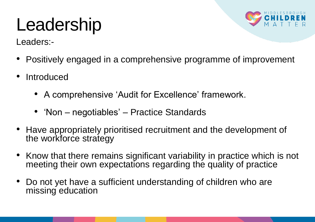#### Leadership

Leaders:-



- Positively engaged in a comprehensive programme of improvement
- **Introduced** 
	- A comprehensive 'Audit for Excellence' framework.
	- 'Non negotiables' Practice Standards
- Have appropriately prioritised recruitment and the development of the workforce strategy
- Know that there remains significant variability in practice which is not meeting their own expectations regarding the quality of practice
- Do not yet have a sufficient understanding of children who are missing education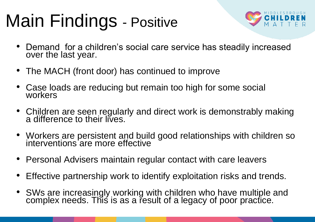## Main Findings - Positive



- Demand for a children's social care service has steadily increased over the last year.
- The MACH (front door) has continued to improve
- Case loads are reducing but remain too high for some social workers
- Children are seen regularly and direct work is demonstrably making a difference to their lives.
- Workers are persistent and build good relationships with children so interventions'are more effective
- Personal Advisers maintain regular contact with care leavers
- Effective partnership work to identify exploitation risks and trends.
- SWs are increasingly working with children who have multiple and complex needs. This is as a result of a legacy of poor practice.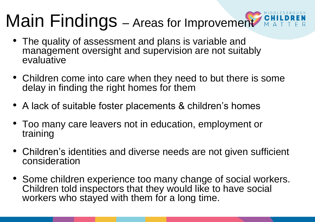# Main Findings – Areas for Improvement MAT

- The quality of assessment and plans is variable and management oversight and supervision are not suitably evaluative
- Children come into care when they need to but there is some delay in finding the right homes for them
- A lack of suitable foster placements & children's homes
- Too many care leavers not in education, employment or training
- Children's identities and diverse needs are not given sufficient consideration
- Some children experience too many change of social workers. Children told inspectors that they would like to have social workers who stayed with them for a long time.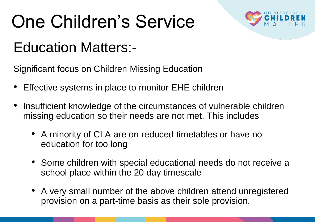# One Children's Service



#### Education Matters:-

Significant focus on Children Missing Education

- Effective systems in place to monitor EHE children
- Insufficient knowledge of the circumstances of vulnerable children missing education so their needs are not met. This includes
	- A minority of CLA are on reduced timetables or have no education for too long
	- Some children with special educational needs do not receive a school place within the 20 day timescale
	- A very small number of the above children attend unregistered provision on a part-time basis as their sole provision.